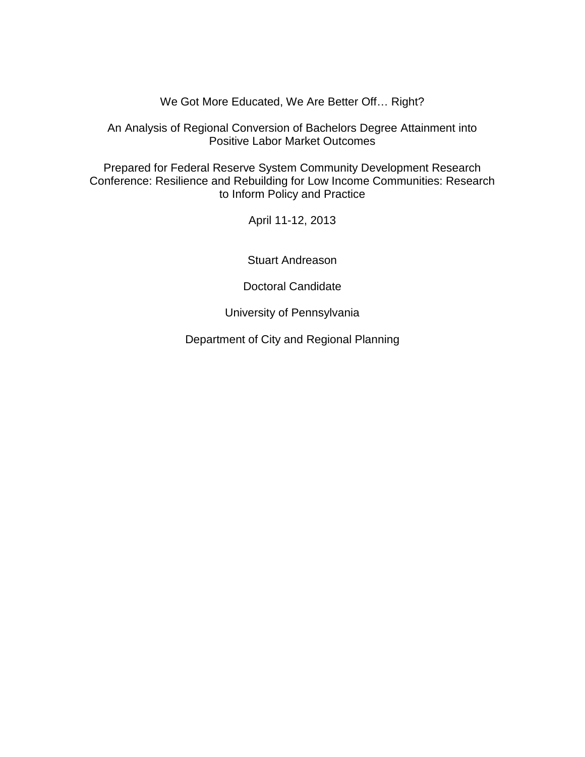We Got More Educated, We Are Better Off… Right?

An Analysis of Regional Conversion of Bachelors Degree Attainment into Positive Labor Market Outcomes

Prepared for Federal Reserve System Community Development Research Conference: Resilience and Rebuilding for Low Income Communities: Research to Inform Policy and Practice

April 11-12, 2013

Stuart Andreason

Doctoral Candidate

University of Pennsylvania

Department of City and Regional Planning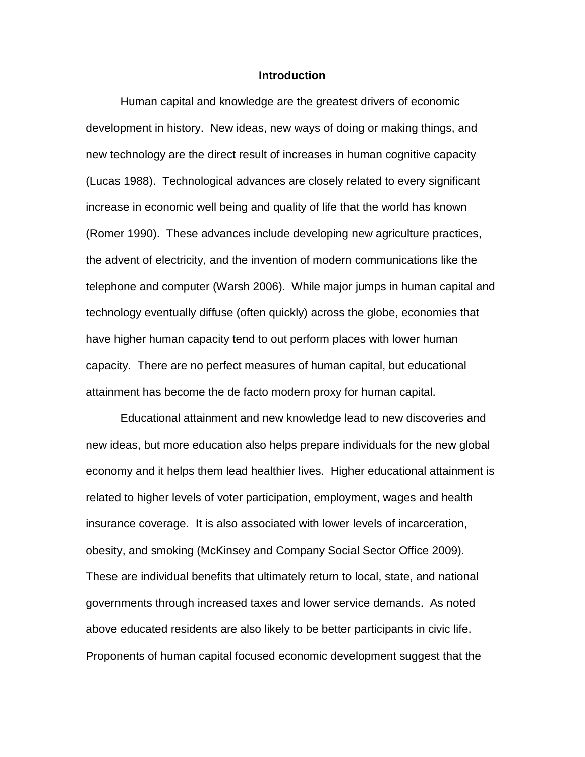#### **Introduction**

 (Lucas 1988). Technological advances are closely related to every significant (Romer 1990). These advances include developing new agriculture practices, telephone and computer (Warsh 2006). While major jumps in human capital and technology eventually diffuse (often quickly) across the globe, economies that capacity. There are no perfect measures of human capital, but educational attainment has become the de facto modern proxy for human capital. Human capital and knowledge are the greatest drivers of economic development in history. New ideas, new ways of doing or making things, and new technology are the direct result of increases in human cognitive capacity increase in economic well being and quality of life that the world has known the advent of electricity, and the invention of modern communications like the have higher human capacity tend to out perform places with lower human

 governments through increased taxes and lower service demands. As noted above educated residents are also likely to be better participants in civic life. Educational attainment and new knowledge lead to new discoveries and new ideas, but more education also helps prepare individuals for the new global economy and it helps them lead healthier lives. Higher educational attainment is related to higher levels of voter participation, employment, wages and health insurance coverage. It is also associated with lower levels of incarceration, obesity, and smoking (McKinsey and Company Social Sector Office 2009). These are individual benefits that ultimately return to local, state, and national Proponents of human capital focused economic development suggest that the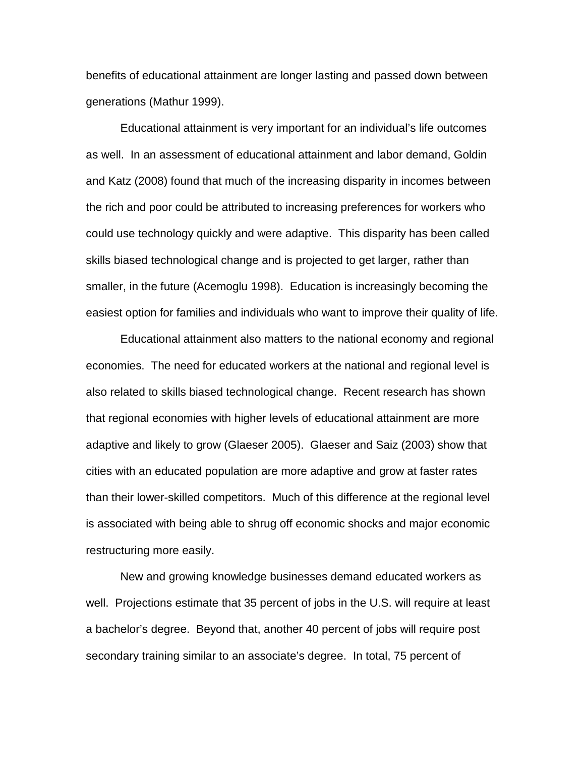benefits of educational attainment are longer lasting and passed down between generations (Mathur 1999).

 Educational attainment is very important for an individual's life outcomes as well. In an assessment of educational attainment and labor demand, Goldin and Katz (2008) found that much of the increasing disparity in incomes between smaller, in the future (Acemoglu 1998). Education is increasingly becoming the easiest option for families and individuals who want to improve their quality of life. the rich and poor could be attributed to increasing preferences for workers who could use technology quickly and were adaptive. This disparity has been called skills biased technological change and is projected to get larger, rather than

 economies. The need for educated workers at the national and regional level is restructuring more easily. Educational attainment also matters to the national economy and regional also related to skills biased technological change. Recent research has shown that regional economies with higher levels of educational attainment are more adaptive and likely to grow (Glaeser 2005). Glaeser and Saiz (2003) show that cities with an educated population are more adaptive and grow at faster rates than their lower-skilled competitors. Much of this difference at the regional level is associated with being able to shrug off economic shocks and major economic

 a bachelor's degree. Beyond that, another 40 percent of jobs will require post secondary training similar to an associate's degree. In total, 75 percent of New and growing knowledge businesses demand educated workers as well. Projections estimate that 35 percent of jobs in the U.S. will require at least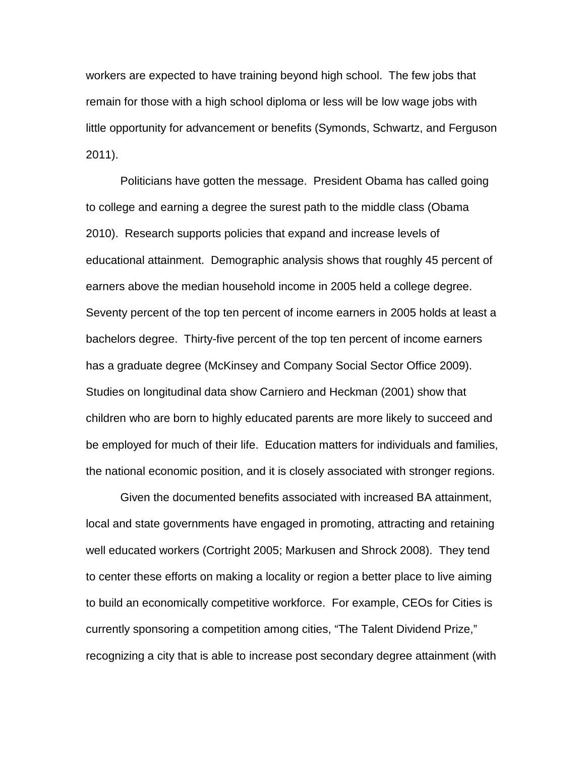workers are expected to have training beyond high school. The few jobs that little opportunity for advancement or benefits (Symonds, Schwartz, and Ferguson remain for those with a high school diploma or less will be low wage jobs with 2011).

 Politicians have gotten the message. President Obama has called going educational attainment. Demographic analysis shows that roughly 45 percent of earners above the median household income in 2005 held a college degree. be employed for much of their life. Education matters for individuals and families, to college and earning a degree the surest path to the middle class (Obama 2010). Research supports policies that expand and increase levels of Seventy percent of the top ten percent of income earners in 2005 holds at least a bachelors degree. Thirty-five percent of the top ten percent of income earners has a graduate degree (McKinsey and Company Social Sector Office 2009). Studies on longitudinal data show Carniero and Heckman (2001) show that children who are born to highly educated parents are more likely to succeed and the national economic position, and it is closely associated with stronger regions.

Given the documented benefits associated with increased BA attainment, local and state governments have engaged in promoting, attracting and retaining well educated workers (Cortright 2005; Markusen and Shrock 2008). They tend to center these efforts on making a locality or region a better place to live aiming to build an economically competitive workforce. For example, CEOs for Cities is currently sponsoring a competition among cities, "The Talent Dividend Prize," recognizing a city that is able to increase post secondary degree attainment (with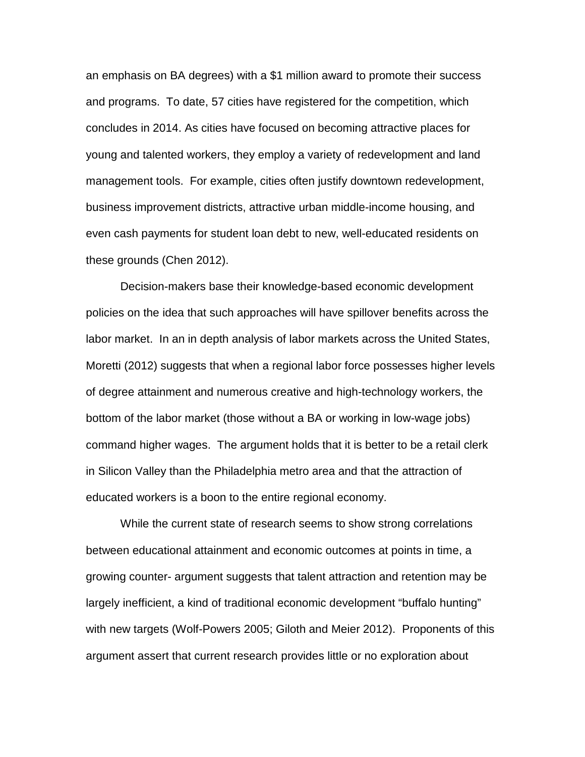an emphasis on BA degrees) with a \$1 million award to promote their success and programs. To date, 57 cities have registered for the competition, which concludes in 2014. As cities have focused on becoming attractive places for young and talented workers, they employ a variety of redevelopment and land management tools. For example, cities often justify downtown redevelopment, business improvement districts, attractive urban middle-income housing, and even cash payments for student loan debt to new, well-educated residents on these grounds (Chen 2012).

 Moretti (2012) suggests that when a regional labor force possesses higher levels bottom of the labor market (those without a BA or working in low-wage jobs) command higher wages. The argument holds that it is better to be a retail clerk educated workers is a boon to the entire regional economy. Decision-makers base their knowledge-based economic development policies on the idea that such approaches will have spillover benefits across the labor market. In an in depth analysis of labor markets across the United States, of degree attainment and numerous creative and high-technology workers, the in Silicon Valley than the Philadelphia metro area and that the attraction of

 with new targets (Wolf-Powers 2005; Giloth and Meier 2012). Proponents of this While the current state of research seems to show strong correlations between educational attainment and economic outcomes at points in time, a growing counter- argument suggests that talent attraction and retention may be largely inefficient, a kind of traditional economic development "buffalo hunting" argument assert that current research provides little or no exploration about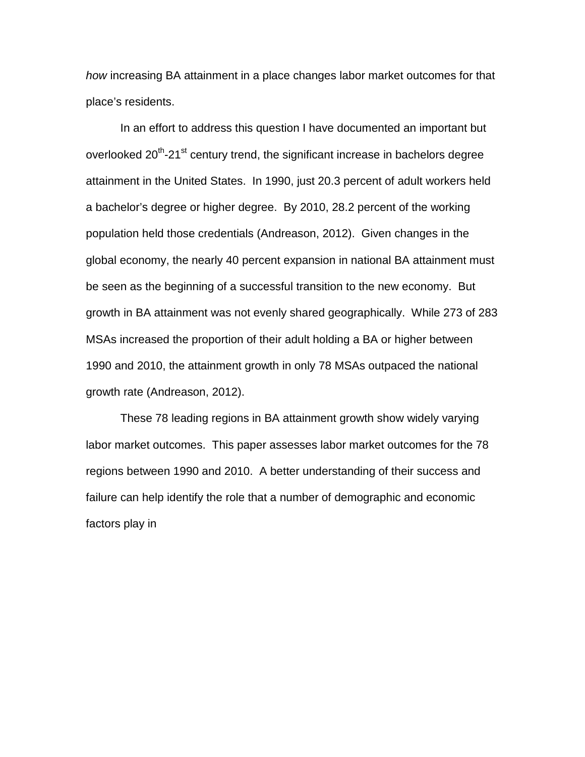*how* increasing BA attainment in a place changes labor market outcomes for that place's residents.

 a bachelor's degree or higher degree. By 2010, 28.2 percent of the working growth in BA attainment was not evenly shared geographically. While 273 of 283 growth rate (Andreason, 2012). In an effort to address this question I have documented an important but overlooked 20<sup>th</sup>-21<sup>st</sup> century trend, the significant increase in bachelors degree attainment in the United States. In 1990, just 20.3 percent of adult workers held population held those credentials (Andreason, 2012). Given changes in the global economy, the nearly 40 percent expansion in national BA attainment must be seen as the beginning of a successful transition to the new economy. But MSAs increased the proportion of their adult holding a BA or higher between 1990 and 2010, the attainment growth in only 78 MSAs outpaced the national

 These 78 leading regions in BA attainment growth show widely varying labor market outcomes. This paper assesses labor market outcomes for the 78 regions between 1990 and 2010. A better understanding of their success and failure can help identify the role that a number of demographic and economic factors play in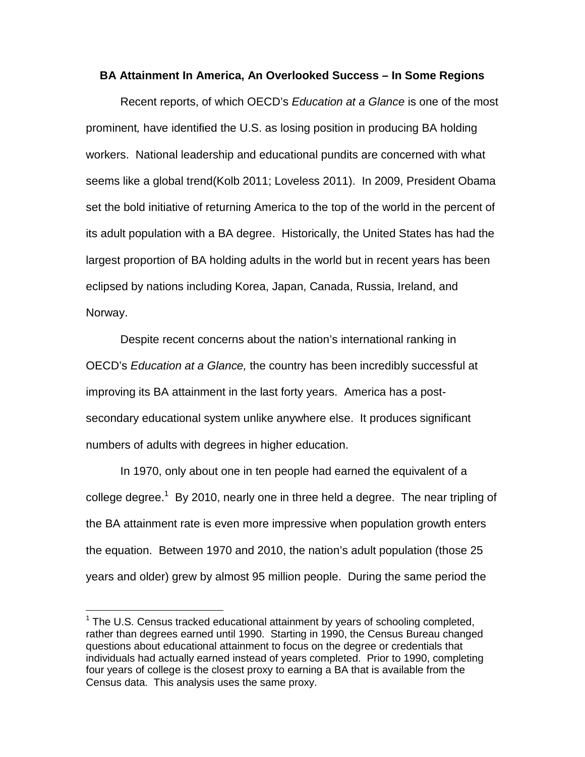#### **BA Attainment In America, An Overlooked Success – In Some Regions**

 seems like a global trend(Kolb 2011; Loveless 2011). In 2009, President Obama Norway. Recent reports, of which OECD's *Education at a Glance* is one of the most prominent*,* have identified the U.S. as losing position in producing BA holding workers. National leadership and educational pundits are concerned with what set the bold initiative of returning America to the top of the world in the percent of its adult population with a BA degree. Historically, the United States has had the largest proportion of BA holding adults in the world but in recent years has been eclipsed by nations including Korea, Japan, Canada, Russia, Ireland, and

 secondary educational system unlike anywhere else. It produces significant numbers of adults with degrees in higher education. Despite recent concerns about the nation's international ranking in OECD's *Education at a Glance,* the country has been incredibly successful at improving its BA attainment in the last forty years. America has a post-

college degree.<sup>1</sup> By 2010, nearly one in three held a degree. The near tripling of the equation. Between 1970 and 2010, the nation's adult population (those 25 years and older) grew by almost 95 million people. During the same period the In 1970, only about one in ten people had earned the equivalent of a the BA attainment rate is even more impressive when population growth enters

 individuals had actually earned instead of years completed. Prior to 1990, completing Census data. This analysis uses the same proxy.  $\overline{1}$  $1$  The U.S. Census tracked educational attainment by years of schooling completed, rather than degrees earned until 1990. Starting in 1990, the Census Bureau changed questions about educational attainment to focus on the degree or credentials that four years of college is the closest proxy to earning a BA that is available from the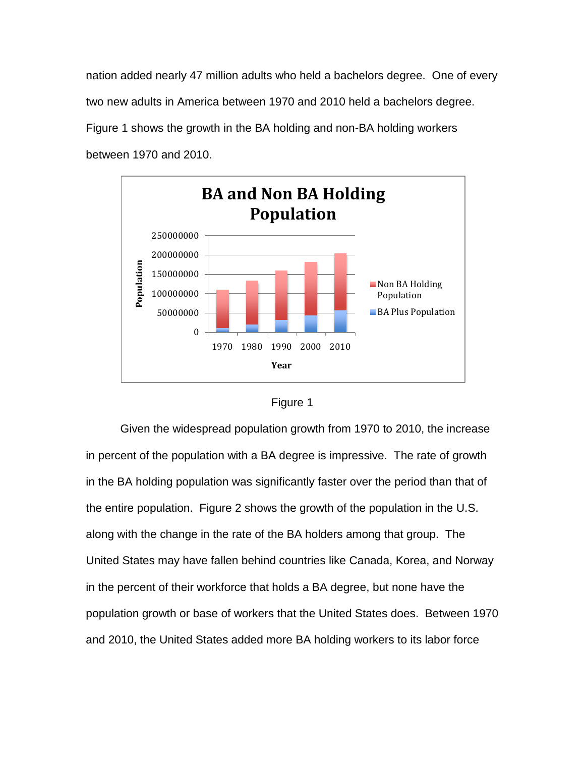nation added nearly 47 million adults who held a bachelors degree. One of every two new adults in America between 1970 and 2010 held a bachelors degree. Figure 1 shows the growth in the BA holding and non-BA holding workers between 1970 and 2010.





 in percent of the population with a BA degree is impressive. The rate of growth along with the change in the rate of the BA holders among that group. The in the percent of their workforce that holds a BA degree, but none have the and 2010, the United States added more BA holding workers to its labor force Given the widespread population growth from 1970 to 2010, the increase in the BA holding population was significantly faster over the period than that of the entire population. Figure 2 shows the growth of the population in the U.S. United States may have fallen behind countries like Canada, Korea, and Norway population growth or base of workers that the United States does. Between 1970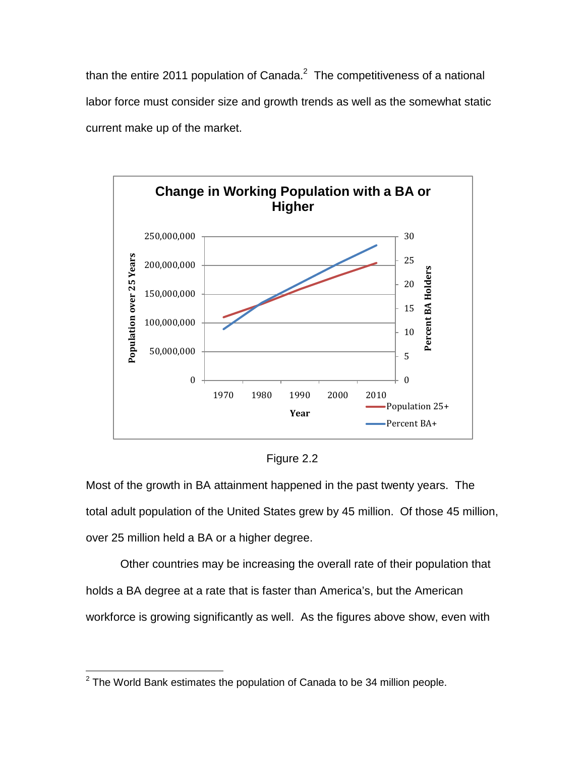than the entire 2011 population of Canada.<sup>2</sup> The competitiveness of a national labor force must consider size and growth trends as well as the somewhat static current make up of the market.



Figure 2.2

 Most of the growth in BA attainment happened in the past twenty years. The total adult population of the United States grew by 45 million. Of those 45 million, over 25 million held a BA or a higher degree.

Other countries may be increasing the overall rate of their population that holds a BA degree at a rate that is faster than America's, but the American workforce is growing significantly as well. As the figures above show, even with

 $\overline{\phantom{a}}$  $2$  The World Bank estimates the population of Canada to be 34 million people.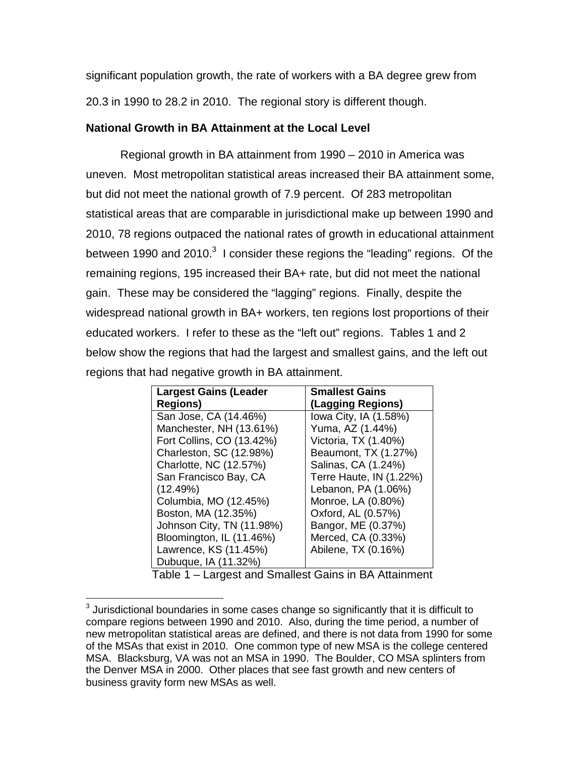20.3 in 1990 to 28.2 in 2010. The regional story is different though. significant population growth, the rate of workers with a BA degree grew from

### **National Growth in BA Attainment at the Local Level**

 uneven. Most metropolitan statistical areas increased their BA attainment some, but did not meet the national growth of 7.9 percent. Of 283 metropolitan between 1990 and 2010. $3$  I consider these regions the "leading" regions. Of the remaining regions, 195 increased their BA+ rate, but did not meet the national educated workers. I refer to these as the "left out" regions. Tables 1 and 2 Regional growth in BA attainment from 1990 – 2010 in America was statistical areas that are comparable in jurisdictional make up between 1990 and 2010, 78 regions outpaced the national rates of growth in educational attainment gain. These may be considered the "lagging" regions. Finally, despite the widespread national growth in BA+ workers, ten regions lost proportions of their below show the regions that had the largest and smallest gains, and the left out regions that had negative growth in BA attainment.

| <b>Largest Gains (Leader</b> | <b>Smallest Gains</b>   |
|------------------------------|-------------------------|
| <b>Regions)</b>              | (Lagging Regions)       |
| San Jose, CA (14.46%)        | lowa City, IA (1.58%)   |
| Manchester, NH (13.61%)      | Yuma, AZ (1.44%)        |
| Fort Collins, CO (13.42%)    | Victoria, TX (1.40%)    |
| Charleston, SC (12.98%)      | Beaumont, TX (1.27%)    |
| Charlotte, NC (12.57%)       | Salinas, CA (1.24%)     |
| San Francisco Bay, CA        | Terre Haute, IN (1.22%) |
| (12.49%)                     | Lebanon, PA (1.06%)     |
| Columbia, MO (12.45%)        | Monroe, LA (0.80%)      |
| Boston, MA (12.35%)          | Oxford, AL (0.57%)      |
| Johnson City, TN (11.98%)    | Bangor, ME (0.37%)      |
| Bloomington, IL (11.46%)     | Merced, CA (0.33%)      |
| Lawrence, KS (11.45%)        | Abilene, TX (0.16%)     |
| Dubuque, IA (11.32%)         |                         |
|                              |                         |

Table 1 – Largest and Smallest Gains in BA Attainment

 compare regions between 1990 and 2010. Also, during the time period, a number of MSA. Blacksburg, VA was not an MSA in 1990. The Boulder, CO MSA splinters from the Denver MSA in 2000. Other places that see fast growth and new centers of business gravity form new MSAs as well.  $\overline{\phantom{a}}$  $3$  Jurisdictional boundaries in some cases change so significantly that it is difficult to new metropolitan statistical areas are defined, and there is not data from 1990 for some of the MSAs that exist in 2010. One common type of new MSA is the college centered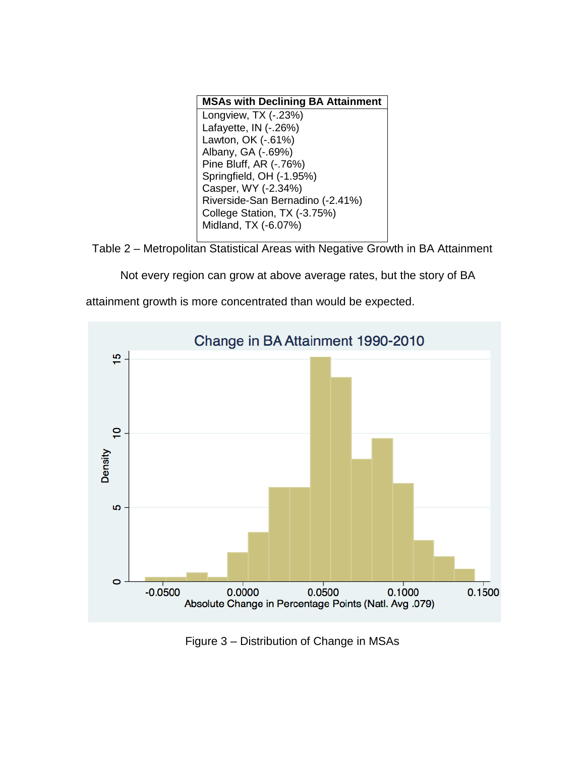| <b>MSAs with Declining BA Attainment</b> |
|------------------------------------------|
| Longview, TX (-.23%)                     |
| Lafayette, IN (-.26%)                    |
| Lawton, OK (-.61%)                       |
| Albany, GA (-.69%)                       |
| Pine Bluff, AR (-.76%)                   |
| Springfield, OH (-1.95%)                 |
| Casper, WY (-2.34%)                      |
| Riverside-San Bernadino (-2.41%)         |
| College Station, TX (-3.75%)             |
| Midland, TX (-6.07%)                     |

Table 2 – Metropolitan Statistical Areas with Negative Growth in BA Attainment

Not every region can grow at above average rates, but the story of BA



attainment growth is more concentrated than would be expected.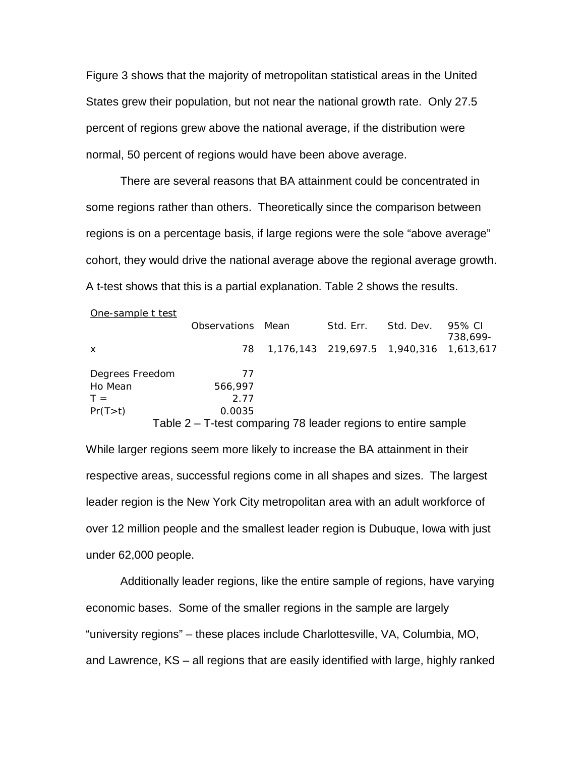States grew their population, but not near the national growth rate. Only 27.5 normal, 50 percent of regions would have been above average. normal, 50 percent of regions would have been above average. There are several reasons that BA attainment could be concentrated in Figure 3 shows that the majority of metropolitan statistical areas in the United percent of regions grew above the national average, if the distribution were

 some regions rather than others. Theoretically since the comparison between cohort, they would drive the national average above the regional average growth.<br>A t-test shows that this is a partial explanation. Table 2 shows the results. A t-test shows that this is a partial explanation. Table 2 shows the results. regions is on a percentage basis, if large regions were the sole "above average"

| One-sample t test |                                                               |                                         |           |          |
|-------------------|---------------------------------------------------------------|-----------------------------------------|-----------|----------|
|                   | Observations Mean                                             | Std. Err.                               | Std. Dev. | 95% CI   |
|                   |                                                               |                                         |           | 738.699- |
| $\mathsf{x}$      | 78                                                            | 1,176,143 219,697.5 1,940,316 1,613,617 |           |          |
|                   |                                                               |                                         |           |          |
| Degrees Freedom   | 77                                                            |                                         |           |          |
| Ho Mean           | 566,997                                                       |                                         |           |          |
| $T =$             | 2.77                                                          |                                         |           |          |
| Pr(T>t)           | 0.0035                                                        |                                         |           |          |
|                   | Table 2 – T-test comparing 78 leader regions to entire sample |                                         |           |          |

 While larger regions seem more likely to increase the BA attainment in their respective areas, successful regions come in all shapes and sizes. The largest leader region is the New York City metropolitan area with an adult workforce of under 62,000 people. over 12 million people and the smallest leader region is Dubuque, Iowa with just

 and Lawrence, KS – all regions that are easily identified with large, highly ranked Additionally leader regions, like the entire sample of regions, have varying economic bases. Some of the smaller regions in the sample are largely "university regions" – these places include Charlottesville, VA, Columbia, MO,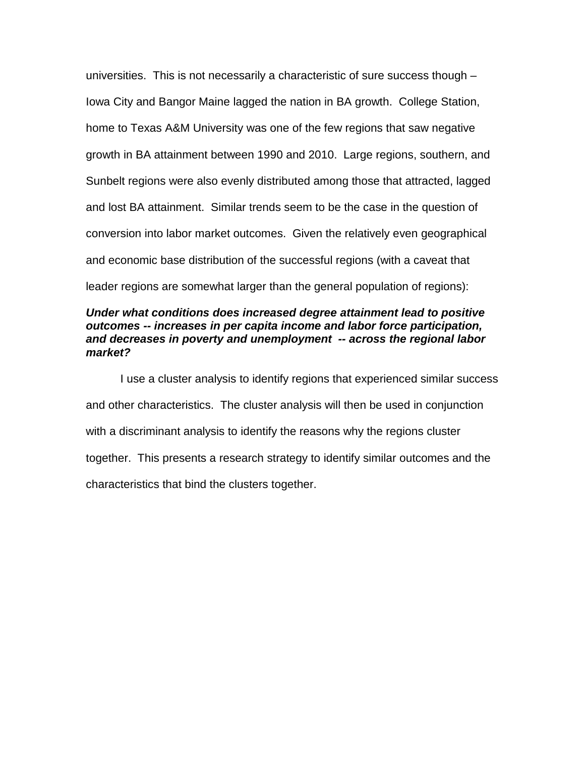universities. This is not necessarily a characteristic of sure success though – Iowa City and Bangor Maine lagged the nation in BA growth. College Station, home to Texas A&M University was one of the few regions that saw negative growth in BA attainment between 1990 and 2010. Large regions, southern, and Sunbelt regions were also evenly distributed among those that attracted, lagged and lost BA attainment. Similar trends seem to be the case in the question of conversion into labor market outcomes. Given the relatively even geographical and economic base distribution of the successful regions (with a caveat that leader regions are somewhat larger than the general population of regions):

## *and decreases in poverty and unemployment -- across the regional labor Under what conditions does increased degree attainment lead to positive outcomes -- increases in per capita income and labor force participation, market?*

 and other characteristics. The cluster analysis will then be used in conjunction together. This presents a research strategy to identify similar outcomes and the characteristics that bind the clusters together. I use a cluster analysis to identify regions that experienced similar success with a discriminant analysis to identify the reasons why the regions cluster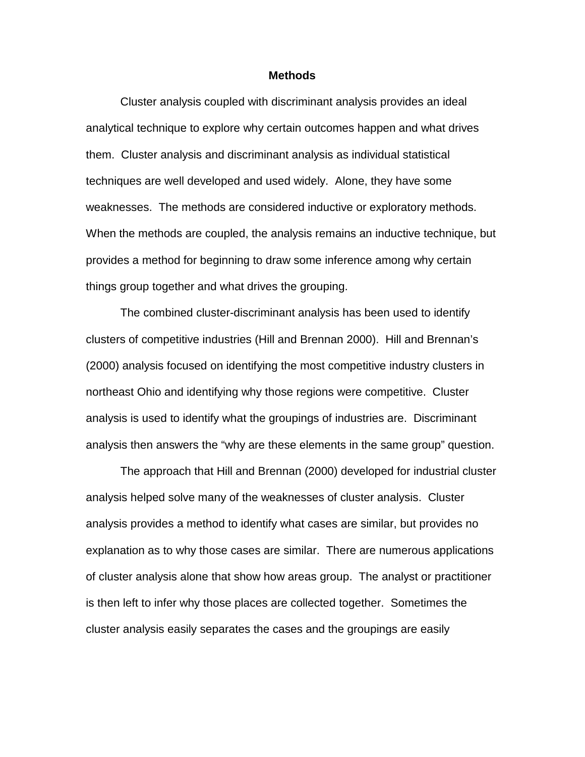#### **Methods**

 analytical technique to explore why certain outcomes happen and what drives things group together and what drives the grouping. Cluster analysis coupled with discriminant analysis provides an ideal them. Cluster analysis and discriminant analysis as individual statistical techniques are well developed and used widely. Alone, they have some weaknesses. The methods are considered inductive or exploratory methods. When the methods are coupled, the analysis remains an inductive technique, but provides a method for beginning to draw some inference among why certain

 clusters of competitive industries (Hill and Brennan 2000). Hill and Brennan's northeast Ohio and identifying why those regions were competitive. Cluster The combined cluster-discriminant analysis has been used to identify (2000) analysis focused on identifying the most competitive industry clusters in analysis is used to identify what the groupings of industries are. Discriminant analysis then answers the "why are these elements in the same group" question.

 The approach that Hill and Brennan (2000) developed for industrial cluster of cluster analysis alone that show how areas group. The analyst or practitioner is then left to infer why those places are collected together. Sometimes the analysis helped solve many of the weaknesses of cluster analysis. Cluster analysis provides a method to identify what cases are similar, but provides no explanation as to why those cases are similar. There are numerous applications cluster analysis easily separates the cases and the groupings are easily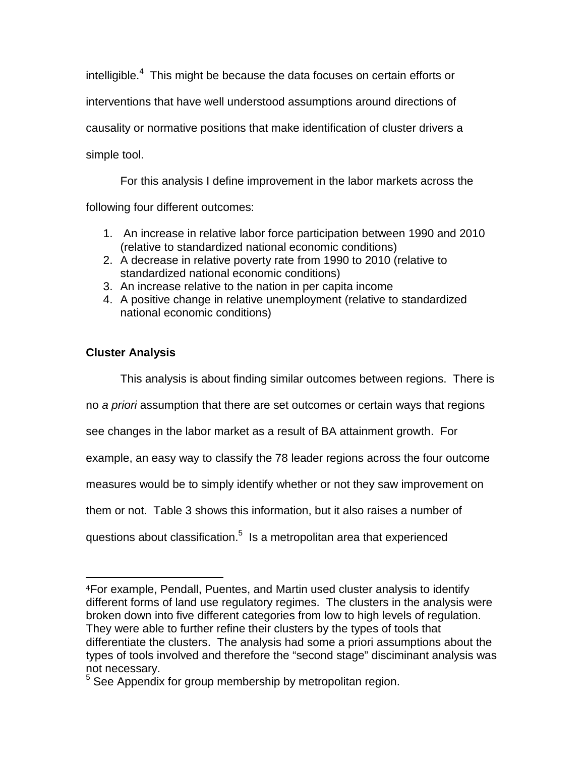intelligible. $4$  This might be because the data focuses on certain efforts or simple tool. interventions that have well understood assumptions around directions of causality or normative positions that make identification of cluster drivers a

For this analysis I define improvement in the labor markets across the following four different outcomes:

- 1. An increase in relative labor force participation between 1990 and 2010 (relative to standardized national economic conditions)
- 2. A decrease in relative poverty rate from 1990 to 2010 (relative to standardized national economic conditions)
- 3. An increase relative to the nation in per capita income
- 4. A positive change in relative unemployment (relative to standardized national economic conditions)

# **Cluster Analysis**

This analysis is about finding similar outcomes between regions. There is

no *a priori* assumption that there are set outcomes or certain ways that regions

see changes in the labor market as a result of BA attainment growth. For

example, an easy way to classify the 78 leader regions across the four outcome

measures would be to simply identify whether or not they saw improvement on

them or not. Table 3 shows this information, but it also raises a number of

questions about classification. $5$  Is a metropolitan area that experienced

 different forms of land use regulatory regimes. The clusters in the analysis were broken down into five different categories from low to high levels of regulation. differentiate the clusters. The analysis had some a priori assumptions about the not necessary. i<br>I <sup>4</sup>For example, Pendall, Puentes, and Martin used cluster analysis to identify They were able to further refine their clusters by the types of tools that types of tools involved and therefore the "second stage" disciminant analysis was

<sup>&</sup>lt;sup>5</sup> See Appendix for group membership by metropolitan region.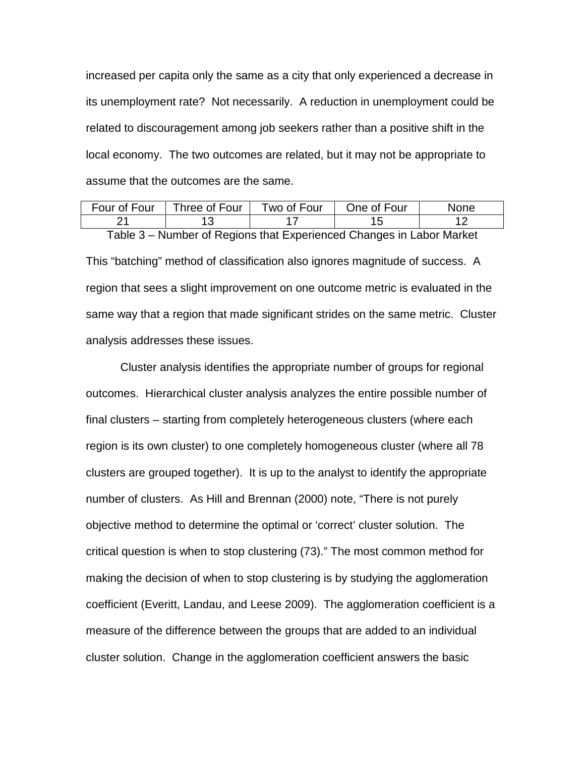local economy. The two outcomes are related, but it may not be appropriate to increased per capita only the same as a city that only experienced a decrease in its unemployment rate? Not necessarily. A reduction in unemployment could be related to discouragement among job seekers rather than a positive shift in the

| assume that the outcomes are the same. |               |             |             |      |  |
|----------------------------------------|---------------|-------------|-------------|------|--|
| Four of Four                           | Three of Four | Two of Four | One of Four | None |  |
|                                        |               |             | 15          |      |  |

 same way that a region that made significant strides on the same metric. Cluster analysis addresses these issues. Table 3 – Number of Regions that Experienced Changes in Labor Market This "batching" method of classification also ignores magnitude of success. A region that sees a slight improvement on one outcome metric is evaluated in the

analysis addresses these issues.<br>Cluster analysis identifies the appropriate number of groups for regional objective method to determine the optimal or 'correct' cluster solution. The critical question is when to stop clustering (73)." The most common method for outcomes. Hierarchical cluster analysis analyzes the entire possible number of final clusters – starting from completely heterogeneous clusters (where each region is its own cluster) to one completely homogeneous cluster (where all 78 clusters are grouped together). It is up to the analyst to identify the appropriate number of clusters. As Hill and Brennan (2000) note, "There is not purely making the decision of when to stop clustering is by studying the agglomeration coefficient (Everitt, Landau, and Leese 2009). The agglomeration coefficient is a measure of the difference between the groups that are added to an individual cluster solution. Change in the agglomeration coefficient answers the basic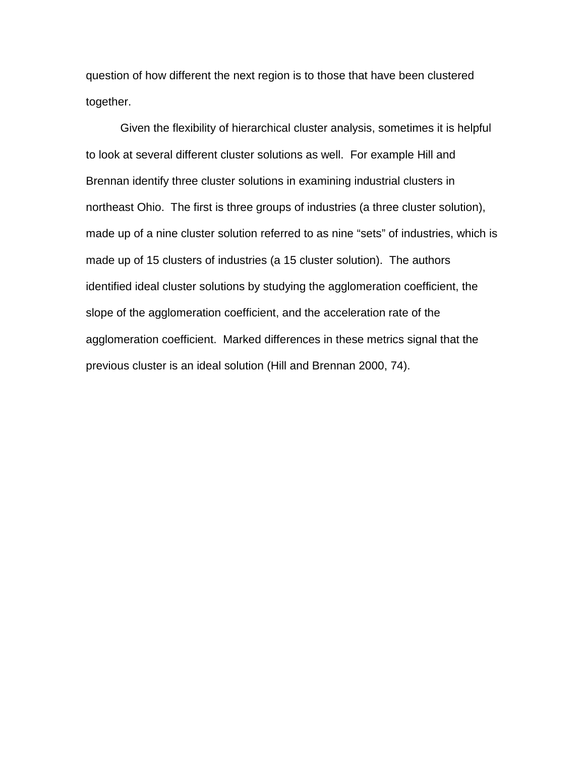question of how different the next region is to those that have been clustered together.

 Given the flexibility of hierarchical cluster analysis, sometimes it is helpful northeast Ohio. The first is three groups of industries (a three cluster solution), made up of 15 clusters of industries (a 15 cluster solution). The authors slope of the agglomeration coefficient, and the acceleration rate of the previous cluster is an ideal solution (Hill and Brennan 2000, 74). to look at several different cluster solutions as well. For example Hill and Brennan identify three cluster solutions in examining industrial clusters in made up of a nine cluster solution referred to as nine "sets" of industries, which is identified ideal cluster solutions by studying the agglomeration coefficient, the agglomeration coefficient. Marked differences in these metrics signal that the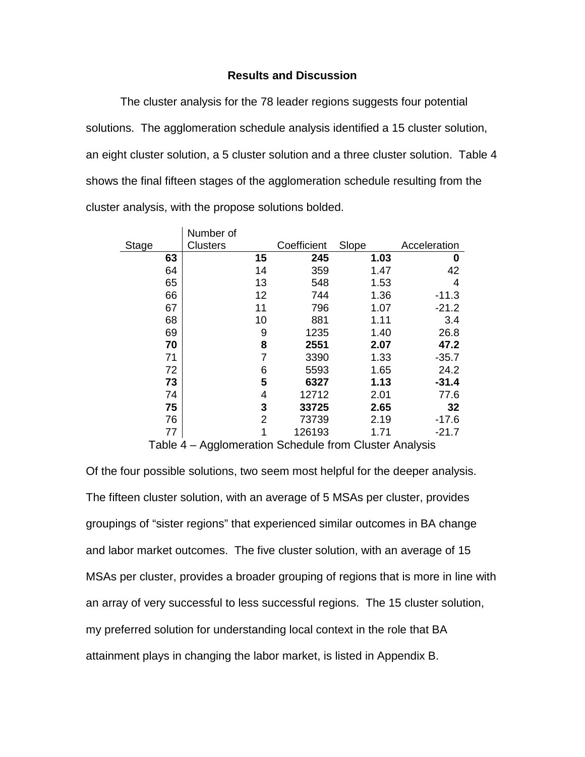#### **Results and Discussion**

 The cluster analysis for the 78 leader regions suggests four potential solutions. The agglomeration schedule analysis identified a 15 cluster solution, shows the final fifteen stages of the agglomeration schedule resulting from the cluster analysis, with the propose solutions bolded. an eight cluster solution, a 5 cluster solution and a three cluster solution. Table 4

|              | Number of       |                |             |       |              |
|--------------|-----------------|----------------|-------------|-------|--------------|
| <b>Stage</b> | <b>Clusters</b> |                | Coefficient | Slope | Acceleration |
| 63           |                 | 15             | 245         | 1.03  | 0            |
| 64           |                 | 14             | 359         | 1.47  | 42           |
| 65           |                 | 13             | 548         | 1.53  | 4            |
| 66           |                 | 12             | 744         | 1.36  | $-11.3$      |
| 67           |                 | 11             | 796         | 1.07  | $-21.2$      |
| 68           |                 | 10             | 881         | 1.11  | 3.4          |
| 69           |                 | 9              | 1235        | 1.40  | 26.8         |
| 70           |                 | 8              | 2551        | 2.07  | 47.2         |
| 71           |                 | $\overline{7}$ | 3390        | 1.33  | $-35.7$      |
| 72           |                 | 6              | 5593        | 1.65  | 24.2         |
| 73           |                 | 5              | 6327        | 1.13  | $-31.4$      |
| 74           |                 | 4              | 12712       | 2.01  | 77.6         |
| 75           |                 | 3              | 33725       | 2.65  | 32           |
| 76           |                 | 2              | 73739       | 2.19  | $-17.6$      |
| 77           |                 | 1              | 126193      | 1.71  | $-21.7$      |

Table 4 – Agglomeration Schedule from Cluster Analysis

 Of the four possible solutions, two seem most helpful for the deeper analysis. and labor market outcomes. The five cluster solution, with an average of 15 an array of very successful to less successful regions. The 15 cluster solution, my preferred solution for understanding local context in the role that BA attainment plays in changing the labor market, is listed in Appendix B. The fifteen cluster solution, with an average of 5 MSAs per cluster, provides groupings of "sister regions" that experienced similar outcomes in BA change MSAs per cluster, provides a broader grouping of regions that is more in line with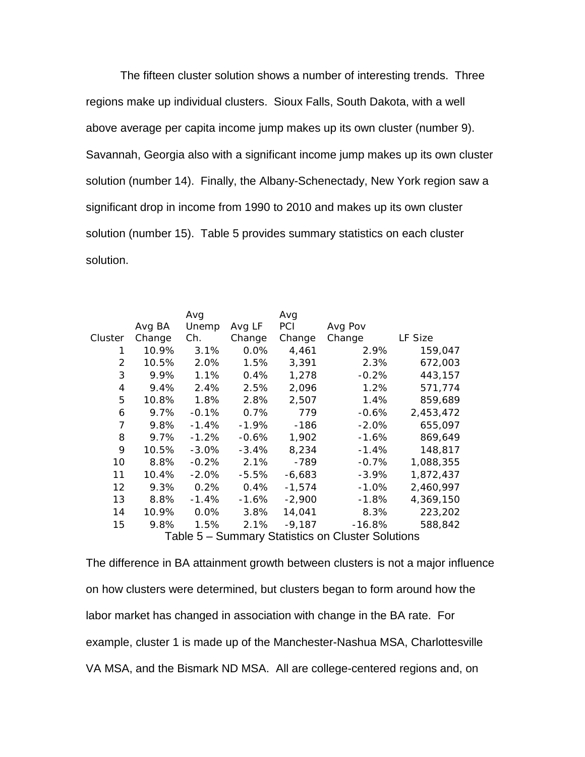The fifteen cluster solution shows a number of interesting trends. Three regions make up individual clusters. Sioux Falls, South Dakota, with a well above average per capita income jump makes up its own cluster (number 9). solution (number 14). Finally, the Albany-Schenectady, New York region saw a solution (number 15). Table 5 provides summary statistics on each cluster solution. Savannah, Georgia also with a significant income jump makes up its own cluster significant drop in income from 1990 to 2010 and makes up its own cluster

|         |        | Avg      |          | Avg        |                                                   |           |
|---------|--------|----------|----------|------------|---------------------------------------------------|-----------|
|         | Avg BA | Unemp    | Avg LF   | <b>PCI</b> | Avg Pov                                           |           |
| Cluster | Change | Ch.      | Change   | Change     | Change                                            | LF Size   |
| 1       | 10.9%  | 3.1%     | $0.0\%$  | 4,461      | 2.9%                                              | 159,047   |
| 2       | 10.5%  | 2.0%     | 1.5%     | 3,391      | 2.3%                                              | 672,003   |
| 3       | 9.9%   | 1.1%     | 0.4%     | 1,278      | -0.2%                                             | 443,157   |
| 4       | 9.4%   | 2.4%     | 2.5%     | 2,096      | 1.2%                                              | 571,774   |
| 5       | 10.8%  | 1.8%     | 2.8%     | 2,507      | 1.4%                                              | 859,689   |
| 6       | 9.7%   | $-0.1%$  | 0.7%     | 779        | -0.6%                                             | 2,453,472 |
| 7       | 9.8%   | $-1.4%$  | $-1.9%$  | -186       | $-2.0%$                                           | 655,097   |
| 8       | 9.7%   | $-1.2%$  | $-0.6%$  | 1,902      | $-1.6\%$                                          | 869,649   |
| 9       | 10.5%  | $-3.0\%$ | $-3.4\%$ | 8,234      | $-1.4%$                                           | 148,817   |
| 10      | 8.8%   | $-0.2%$  | 2.1%     | -789       | $-0.7%$                                           | 1,088,355 |
| 11      | 10.4%  | $-2.0\%$ | -5.5%    | $-6,683$   | -3.9%                                             | 1,872,437 |
| 12      | 9.3%   | 0.2%     | 0.4%     | $-1,574$   | $-1.0%$                                           | 2,460,997 |
| 13      | 8.8%   | $-1.4%$  | $-1.6%$  | $-2,900$   | $-1.8%$                                           | 4,369,150 |
| 14      | 10.9%  | 0.0%     | 3.8%     | 14,041     | 8.3%                                              | 223,202   |
| 15      | 9.8%   | 1.5%     | 2.1%     | $-9,187$   | $-16.8%$                                          | 588,842   |
|         |        |          |          |            | Table 5 - Summary Statistics on Cluster Solutions |           |

 labor market has changed in association with change in the BA rate. For The difference in BA attainment growth between clusters is not a major influence on how clusters were determined, but clusters began to form around how the example, cluster 1 is made up of the Manchester-Nashua MSA, Charlottesville VA MSA, and the Bismark ND MSA. All are college-centered regions and, on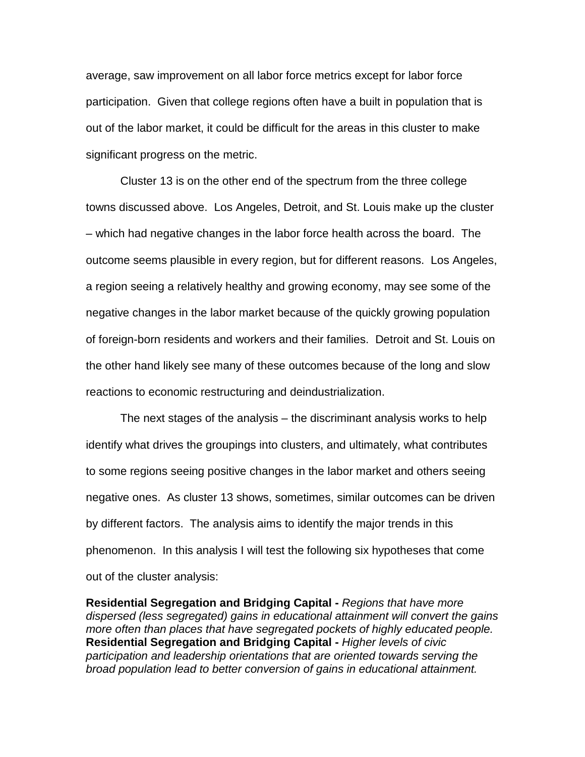participation. Given that college regions often have a built in population that is out of the labor market, it could be difficult for the areas in this cluster to make significant progress on the metric. average, saw improvement on all labor force metrics except for labor force

 – which had negative changes in the labor force health across the board. The outcome seems plausible in every region, but for different reasons. Los Angeles, a region seeing a relatively healthy and growing economy, may see some of the reactions to economic restructuring and deindustrialization. Cluster 13 is on the other end of the spectrum from the three college towns discussed above. Los Angeles, Detroit, and St. Louis make up the cluster negative changes in the labor market because of the quickly growing population of foreign-born residents and workers and their families. Detroit and St. Louis on the other hand likely see many of these outcomes because of the long and slow

The next stages of the analysis – the discriminant analysis works to help identify what drives the groupings into clusters, and ultimately, what contributes to some regions seeing positive changes in the labor market and others seeing negative ones. As cluster 13 shows, sometimes, similar outcomes can be driven by different factors. The analysis aims to identify the major trends in this phenomenon. In this analysis I will test the following six hypotheses that come out of the cluster analysis:

**Residential Segregation and Bridging Capital -** *Regions that have more dispersed (less segregated) gains in educational attainment will convert the gains more often than places that have segregated pockets of highly educated people.*  **Residential Segregation and Bridging Capital -** *Higher levels of civic participation and leadership orientations that are oriented towards serving the broad population lead to better conversion of gains in educational attainment.*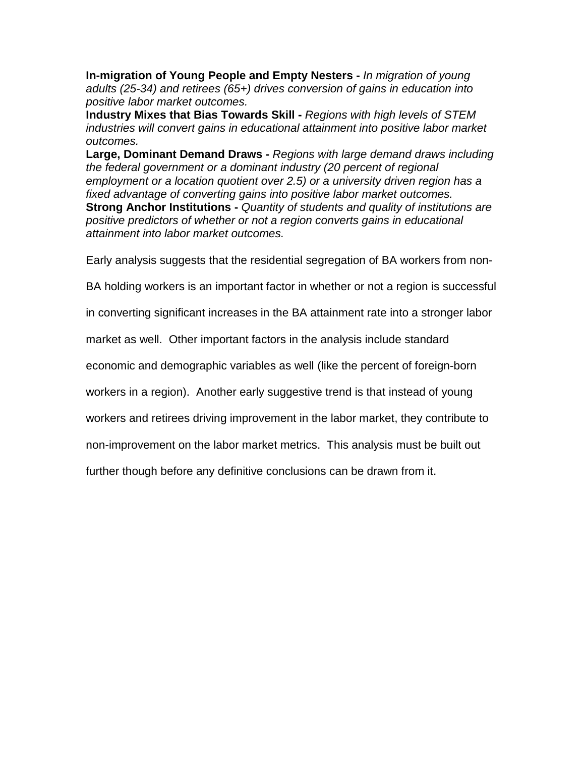**In-migration of Young People and Empty Nesters -** *In migration of young adults (25-34) and retirees (65+) drives conversion of gains in education into positive labor market outcomes.* 

**Industry Mixes that Bias Towards Skill -** *Regions with high levels of STEM industries will convert gains in educational attainment into positive labor market outcomes.* 

 *positive predictors of whether or not a region converts gains in educational attainment into labor market outcomes.* **Large, Dominant Demand Draws -** *Regions with large demand draws including the federal government or a dominant industry (20 percent of regional employment or a location quotient over 2.5) or a university driven region has a fixed advantage of converting gains into positive labor market outcomes.*  **Strong Anchor Institutions -** *Quantity of students and quality of institutions are* 

Early analysis suggests that the residential segregation of BA workers from non-

BA holding workers is an important factor in whether or not a region is successful

in converting significant increases in the BA attainment rate into a stronger labor

market as well. Other important factors in the analysis include standard

economic and demographic variables as well (like the percent of foreign-born

workers in a region). Another early suggestive trend is that instead of young

workers and retirees driving improvement in the labor market, they contribute to

non-improvement on the labor market metrics. This analysis must be built out

further though before any definitive conclusions can be drawn from it.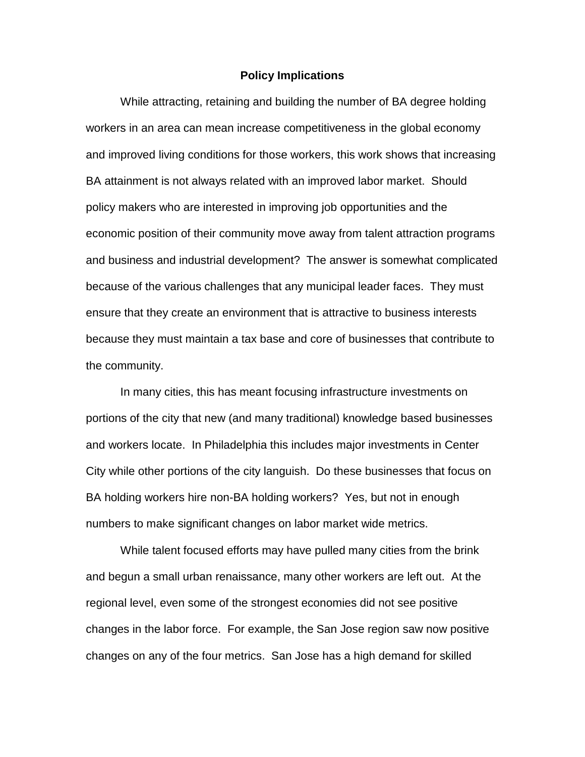#### **Policy Implications**

 workers in an area can mean increase competitiveness in the global economy BA attainment is not always related with an improved labor market. Should because of the various challenges that any municipal leader faces. They must because they must maintain a tax base and core of businesses that contribute to the community. While attracting, retaining and building the number of BA degree holding and improved living conditions for those workers, this work shows that increasing policy makers who are interested in improving job opportunities and the economic position of their community move away from talent attraction programs and business and industrial development? The answer is somewhat complicated ensure that they create an environment that is attractive to business interests

 City while other portions of the city languish. Do these businesses that focus on numbers to make significant changes on labor market wide metrics. In many cities, this has meant focusing infrastructure investments on portions of the city that new (and many traditional) knowledge based businesses and workers locate. In Philadelphia this includes major investments in Center BA holding workers hire non-BA holding workers? Yes, but not in enough

 numbers to make significant changes on labor market wide metrics. While talent focused efforts may have pulled many cities from the brink and begun a small urban renaissance, many other workers are left out. At the changes in the labor force. For example, the San Jose region saw now positive changes on any of the four metrics. San Jose has a high demand for skilled regional level, even some of the strongest economies did not see positive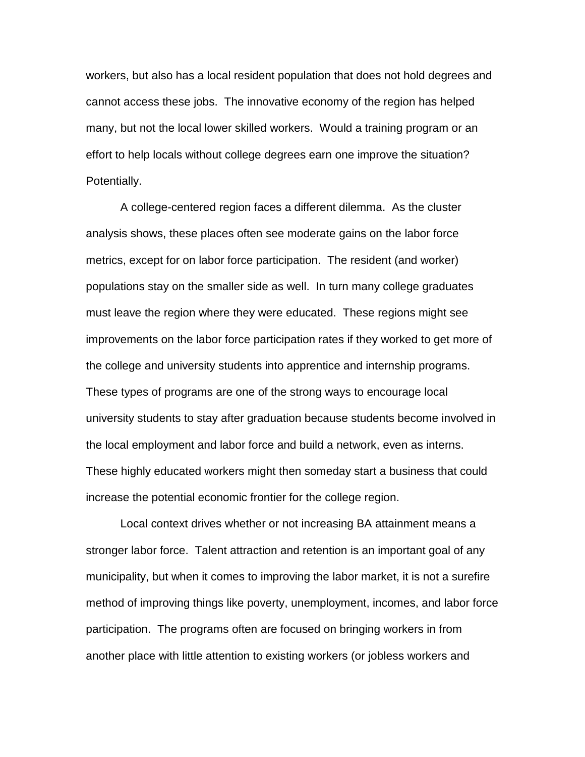cannot access these jobs. The innovative economy of the region has helped many, but not the local lower skilled workers. Would a training program or an Potentially. Potentially. A college-centered region faces a different dilemma. As the cluster workers, but also has a local resident population that does not hold degrees and effort to help locals without college degrees earn one improve the situation?

 metrics, except for on labor force participation. The resident (and worker) must leave the region where they were educated. These regions might see the college and university students into apprentice and internship programs. the college and university students into apprentice and internship programs.<br>These types of programs are one of the strong ways to encourage local the local employment and labor force and build a network, even as interns. increase the potential economic frontier for the college region. analysis shows, these places often see moderate gains on the labor force populations stay on the smaller side as well. In turn many college graduates improvements on the labor force participation rates if they worked to get more of university students to stay after graduation because students become involved in These highly educated workers might then someday start a business that could

 stronger labor force. Talent attraction and retention is an important goal of any participation. The programs often are focused on bringing workers in from Local context drives whether or not increasing BA attainment means a municipality, but when it comes to improving the labor market, it is not a surefire method of improving things like poverty, unemployment, incomes, and labor force another place with little attention to existing workers (or jobless workers and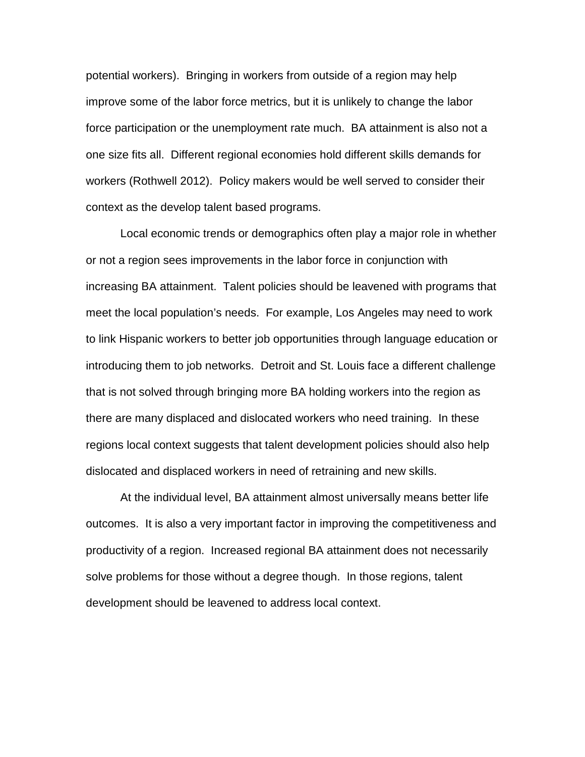one size fits all. Different regional economies hold different skills demands for context as the develop talent based programs. context as the develop talent based programs. Local economic trends or demographics often play a major role in whether potential workers). Bringing in workers from outside of a region may help improve some of the labor force metrics, but it is unlikely to change the labor force participation or the unemployment rate much. BA attainment is also not a workers (Rothwell 2012). Policy makers would be well served to consider their

 increasing BA attainment. Talent policies should be leavened with programs that meet the local population's needs. For example, Los Angeles may need to work introducing them to job networks. Detroit and St. Louis face a different challenge dislocated and displaced workers in need of retraining and new skills. or not a region sees improvements in the labor force in conjunction with to link Hispanic workers to better job opportunities through language education or that is not solved through bringing more BA holding workers into the region as there are many displaced and dislocated workers who need training. In these regions local context suggests that talent development policies should also help

 productivity of a region. Increased regional BA attainment does not necessarily At the individual level, BA attainment almost universally means better life outcomes. It is also a very important factor in improving the competitiveness and solve problems for those without a degree though. In those regions, talent development should be leavened to address local context.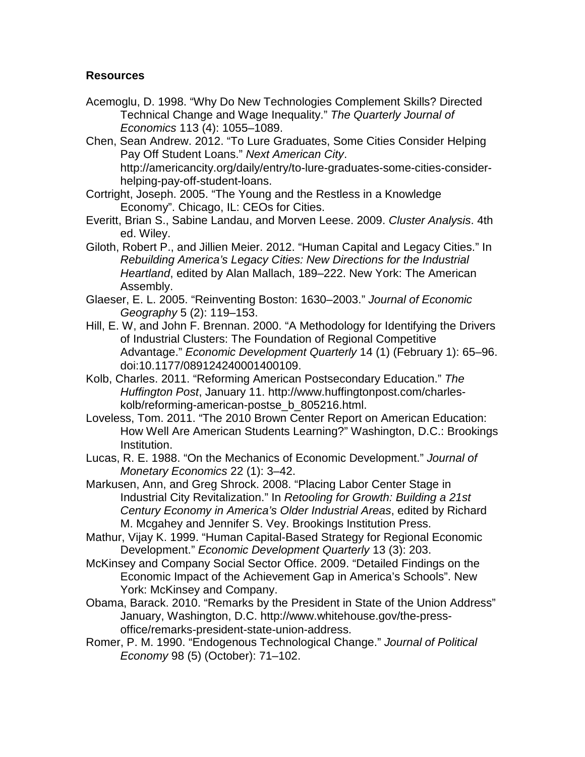# **Resources**

- Technical Change and Wage Inequality." *The Quarterly Journal of*  Acemoglu, D. 1998. "Why Do New Technologies Complement Skills? Directed *Economics* 113 (4): 1055–1089.
- Pay Off Student Loans." *Next American City*. Chen, Sean Andrew. 2012. "To Lure Graduates, Some Cities Consider Helping http://americancity.org/daily/entry/to-lure-graduates-some-cities-considerhelping-pay-off-student-loans.
- Cortright, Joseph. 2005. "The Young and the Restless in a Knowledge Economy". Chicago, IL: CEOs for Cities.
- Everitt, Brian S., Sabine Landau, and Morven Leese. 2009. *Cluster Analysis*. 4th ed. Wiley.
- Giloth, Robert P., and Jillien Meier. 2012. "Human Capital and Legacy Cities." In *Heartland*, edited by Alan Mallach, 189–222. New York: The American *Rebuilding America's Legacy Cities: New Directions for the Industrial*  Assembly.
- Glaeser, E. L. 2005. "Reinventing Boston: 1630–2003." *Journal of Economic Geography* 5 (2): 119–153.
- Hill, E. W, and John F. Brennan. 2000. "A Methodology for Identifying the Drivers of Industrial Clusters: The Foundation of Regional Competitive Advantage." *Economic Development Quarterly* 14 (1) (February 1): 65–96. doi:10.1177/089124240001400109.
- Kolb, Charles. 2011. "Reforming American Postsecondary Education." *The Huffington Post*, January 11. http://www.huffingtonpost.com/charleskolb/reforming-american-postse\_b\_805216.html.
- Loveless, Tom. 2011. "The 2010 Brown Center Report on American Education: How Well Are American Students Learning?" Washington, D.C.: Brookings Institution.
- Lucas, R. E. 1988. "On the Mechanics of Economic Development." *Journal of Monetary Economics* 22 (1): 3–42.
- Markusen, Ann, and Greg Shrock. 2008. "Placing Labor Center Stage in Industrial City Revitalization." In *Retooling for Growth: Building a 21st Century Economy in America's Older Industrial Areas*, edited by Richard M. Mcgahey and Jennifer S. Vey. Brookings Institution Press.
- Mathur, Vijay K. 1999. "Human Capital-Based Strategy for Regional Economic Development." *Economic Development Quarterly* 13 (3): 203.
- McKinsey and Company Social Sector Office. 2009. "Detailed Findings on the Economic Impact of the Achievement Gap in America's Schools". New York: McKinsey and Company.
- Obama, Barack. 2010. "Remarks by the President in State of the Union Address" January, Washington, D.C. http://www.whitehouse.gov/the-pressoffice/remarks-president-state-union-address.
- Romer, P. M. 1990. "Endogenous Technological Change." *Journal of Political Economy* 98 (5) (October): 71–102.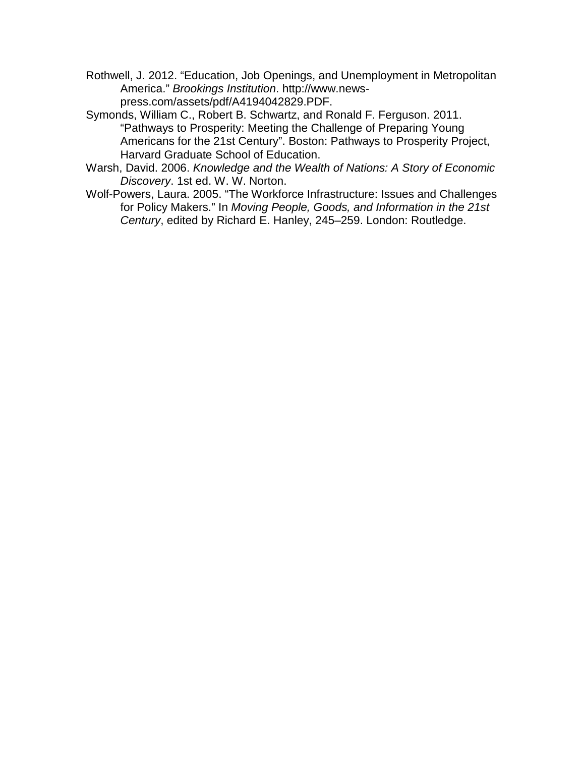- Rothwell, J. 2012. "Education, Job Openings, and Unemployment in Metropolitan America." *Brookings Institution*. http://www.newspress.com/assets/pdf/A4194042829.PDF.
- Symonds, William C., Robert B. Schwartz, and Ronald F. Ferguson. 2011. Americans for the 21st Century". Boston: Pathways to Prosperity Project, "Pathways to Prosperity: Meeting the Challenge of Preparing Young Harvard Graduate School of Education.
- Warsh, David. 2006. *Knowledge and the Wealth of Nations: A Story of Economic Discovery*. 1st ed. W. W. Norton.
- Wolf-Powers, Laura. 2005. "The Workforce Infrastructure: Issues and Challenges for Policy Makers." In *Moving People, Goods, and Information in the 21st Century*, edited by Richard E. Hanley, 245–259. London: Routledge.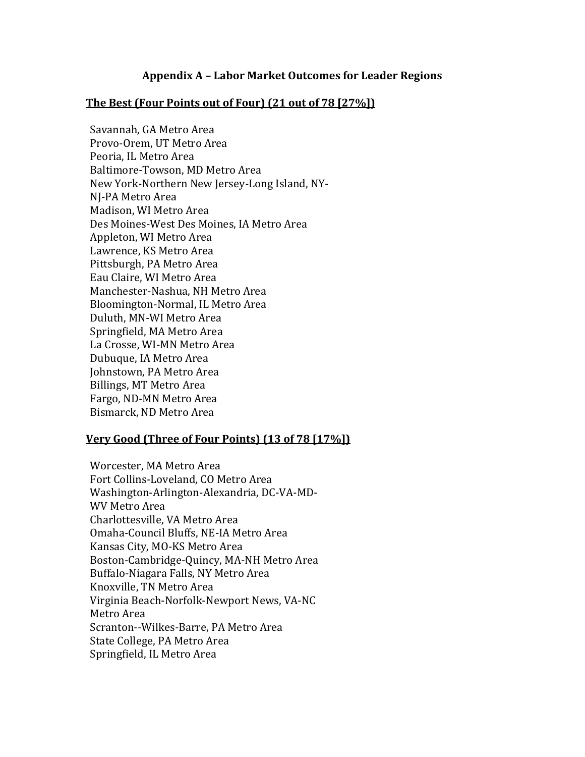## **Appendix A – Labor Market Outcomes for Leader Regions**

### **The Best (Four Points out of Four) (21 out of 78 [27%])**

Savannah, GA Metro Area Provo-Orem, UT Metro Area Peoria, IL Metro Area Baltimore-Towson, MD Metro Area New York-Northern New Jersey-Long Island, NY-NJ-PA Metro Area Madison, WI Metro Area Des Moines-West Des Moines, IA Metro Area Appleton, WI Metro Area Lawrence, KS Metro Area Pittsburgh, PA Metro Area Eau Claire, WI Metro Area Manchester-Nashua, NH Metro Area Bloomington-Normal, IL Metro Area Duluth, MN-WI Metro Area Springfield, MA Metro Area La Crosse, WI-MN Metro Area Dubuque, IA Metro Area Johnstown, PA Metro Area Billings, MT Metro Area Fargo, ND-MN Metro Area Bismarck, ND Metro Area

### **Very Good (Three of Four Points) (13 of 78 [17%])**

Worcester, MA Metro Area Fort Collins-Loveland, CO Metro Area Washington-Arlington-Alexandria, DC-VA-MD-WV Metro Area Charlottesville, VA Metro Area Omaha-Council Bluffs, NE-IA Metro Area Kansas City, MO-KS Metro Area Boston-Cambridge-Quincy, MA-NH Metro Area Buffalo-Niagara Falls, NY Metro Area Knoxville, TN Metro Area Virginia Beach-Norfolk-Newport News, VA-NC Metro Area Scranton--Wilkes-Barre, PA Metro Area State College, PA Metro Area Springfield, IL Metro Area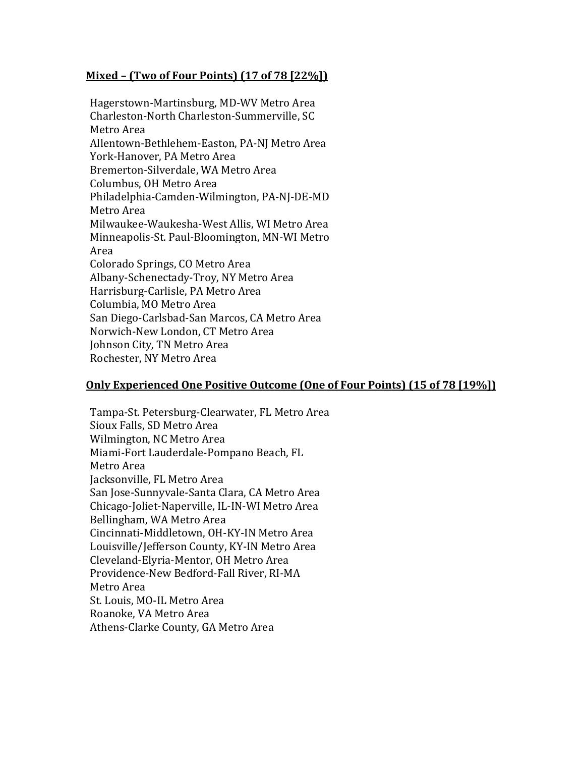# **Mixed – (Two of Four Points) (17 of 78 [22%])**

Hagerstown-Martinsburg, MD-WV Metro Area Charleston-North Charleston-Summerville, SC Metro Area Allentown-Bethlehem-Easton, PA-NJ Metro Area York-Hanover, PA Metro Area Bremerton-Silverdale, WA Metro Area Columbus, OH Metro Area Philadelphia-Camden-Wilmington, PA-NJ-DE-MD Metro Area Milwaukee-Waukesha-West Allis, WI Metro Area Minneapolis-St. Paul-Bloomington, MN-WI Metro Area Colorado Springs, CO Metro Area Albany-Schenectady-Troy, NY Metro Area Harrisburg-Carlisle, PA Metro Area Columbia, MO Metro Area San Diego-Carlsbad-San Marcos, CA Metro Area Norwich-New London, CT Metro Area Johnson City, TN Metro Area Rochester, NY Metro Area

### **Only Experienced One Positive Outcome (One of Four Points) (15 of 78 [19%])**

Tampa-St. Petersburg-Clearwater, FL Metro Area Sioux Falls, SD Metro Area Wilmington, NC Metro Area Miami-Fort Lauderdale-Pompano Beach, FL Metro Area Jacksonville, FL Metro Area San Jose-Sunnyvale-Santa Clara, CA Metro Area Chicago-Joliet-Naperville, IL-IN-WI Metro Area Bellingham, WA Metro Area Cincinnati-Middletown, OH-KY-IN Metro Area Louisville/Jefferson County, KY-IN Metro Area Cleveland-Elyria-Mentor, OH Metro Area Providence-New Bedford-Fall River, RI-MA Metro Area St. Louis, MO-IL Metro Area Roanoke, VA Metro Area Athens-Clarke County, GA Metro Area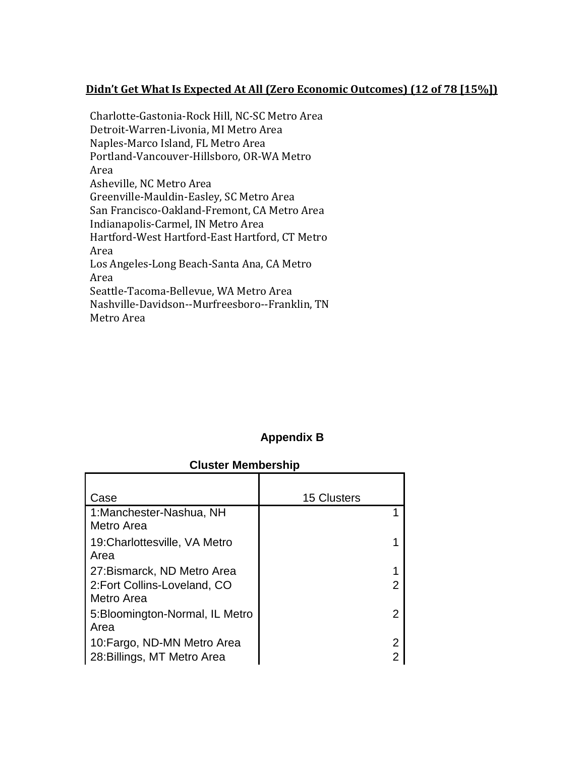# **Didn't Get What Is Expected At All (Zero Economic Outcomes) (12 of 78 [15%])**

Charlotte-Gastonia-Rock Hill, NC-SC Metro Area Detroit-Warren-Livonia, MI Metro Area Naples-Marco Island, FL Metro Area Portland-Vancouver-Hillsboro, OR-WA Metro Area Asheville, NC Metro Area Greenville-Mauldin-Easley, SC Metro Area San Francisco-Oakland-Fremont, CA Metro Area Indianapolis-Carmel, IN Metro Area Hartford-West Hartford-East Hartford, CT Metro Area Los Angeles-Long Beach-Santa Ana, CA Metro Area Seattle-Tacoma-Bellevue, WA Metro Area Nashville-Davidson--Murfreesboro--Franklin, TN Metro Area

# **Appendix B**

#### **Cluster Membership**

| Case                                                                      | <b>15 Clusters</b> |
|---------------------------------------------------------------------------|--------------------|
| 1: Manchester-Nashua, NH<br>Metro Area                                    |                    |
| 19: Charlottesville, VA Metro<br>Area                                     |                    |
| 27: Bismarck, ND Metro Area<br>2: Fort Collins-Loveland, CO<br>Metro Area | 2                  |
| 5: Bloomington-Normal, IL Metro<br>Area                                   | 2                  |
| 10: Fargo, ND-MN Metro Area<br>28: Billings, MT Metro Area                | 2<br>2             |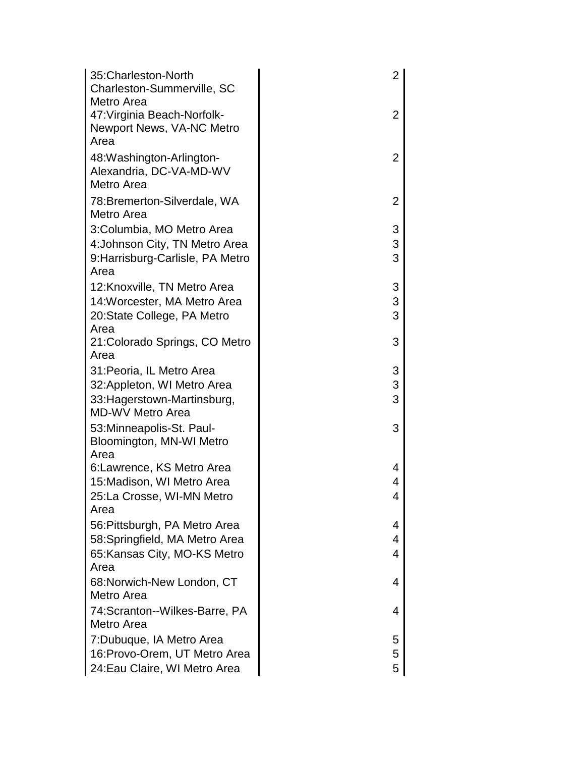| 35: Charleston-North             | $\overline{2}$ |  |
|----------------------------------|----------------|--|
| Charleston-Summerville, SC       |                |  |
| Metro Area                       |                |  |
| 47: Virginia Beach-Norfolk-      | 2              |  |
| Newport News, VA-NC Metro        |                |  |
| Area                             |                |  |
| 48: Washington-Arlington-        | $\overline{2}$ |  |
| Alexandria, DC-VA-MD-WV          |                |  |
| Metro Area                       |                |  |
| 78: Bremerton-Silverdale, WA     | $\overline{2}$ |  |
| Metro Area                       |                |  |
| 3:Columbia, MO Metro Area        | 3              |  |
| 4: Johnson City, TN Metro Area   | 3              |  |
| 9: Harrisburg-Carlisle, PA Metro | 3              |  |
| Area                             |                |  |
| 12: Knoxville, TN Metro Area     | 3              |  |
| 14: Worcester, MA Metro Area     | 3              |  |
| 20: State College, PA Metro      | 3              |  |
| Area                             |                |  |
| 21: Colorado Springs, CO Metro   | 3              |  |
| Area                             |                |  |
| 31: Peoria, IL Metro Area        | 3              |  |
| 32: Appleton, WI Metro Area      | 3              |  |
| 33: Hagerstown-Martinsburg,      | 3              |  |
| <b>MD-WV Metro Area</b>          |                |  |
| 53: Minneapolis-St. Paul-        | 3              |  |
| Bloomington, MN-WI Metro         |                |  |
| Area                             |                |  |
| 6: Lawrence, KS Metro Area       | 4              |  |
| 15: Madison, WI Metro Area       | 4              |  |
| 25:La Crosse, WI-MN Metro        | 4              |  |
| Area                             |                |  |
| 56: Pittsburgh, PA Metro Area    | 4              |  |
| 58: Springfield, MA Metro Area   | 4              |  |
| 65: Kansas City, MO-KS Metro     | 4              |  |
| Area                             |                |  |
| 68: Norwich-New London, CT       | 4              |  |
| Metro Area                       |                |  |
| 74: Scranton -- Wilkes-Barre, PA | 4              |  |
| Metro Area                       |                |  |
| 7: Dubuque, IA Metro Area        | 5              |  |
| 16: Provo-Orem, UT Metro Area    | 5              |  |
| 24: Eau Claire, WI Metro Area    | 5              |  |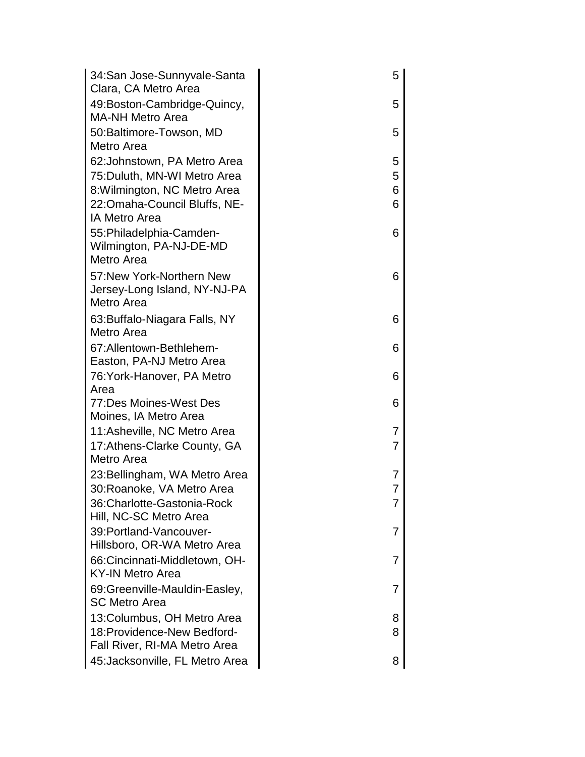| 34: San Jose-Sunnyvale-Santa                                                                                                                         | 5                |  |
|------------------------------------------------------------------------------------------------------------------------------------------------------|------------------|--|
| Clara, CA Metro Area<br>49:Boston-Cambridge-Quincy,<br><b>MA-NH Metro Area</b>                                                                       | 5                |  |
| 50: Baltimore-Towson, MD<br>Metro Area                                                                                                               | 5                |  |
| 62: Johnstown, PA Metro Area<br>75: Duluth, MN-WI Metro Area<br>8: Wilmington, NC Metro Area<br>22:Omaha-Council Bluffs, NE-<br><b>IA Metro Area</b> | 5<br>5<br>6<br>6 |  |
| 55: Philadelphia-Camden-<br>Wilmington, PA-NJ-DE-MD<br>Metro Area                                                                                    | 6                |  |
| 57: New York-Northern New<br>Jersey-Long Island, NY-NJ-PA<br>Metro Area                                                                              | 6                |  |
| 63: Buffalo-Niagara Falls, NY<br>Metro Area                                                                                                          | 6                |  |
| 67:Allentown-Bethlehem-<br>Easton, PA-NJ Metro Area                                                                                                  | 6                |  |
| 76: York-Hanover, PA Metro<br>Area                                                                                                                   | 6                |  |
| 77:Des Moines-West Des<br>Moines, IA Metro Area                                                                                                      | 6                |  |
| 11: Asheville, NC Metro Area<br>17: Athens-Clarke County, GA<br>Metro Area                                                                           | 7<br>7           |  |
| 23: Bellingham, WA Metro Area<br>30:Roanoke, VA Metro Area                                                                                           | 7<br>7           |  |
| 36: Charlotte-Gastonia-Rock<br>Hill, NC-SC Metro Area                                                                                                | 7                |  |
| 39: Portland-Vancouver-                                                                                                                              | 7                |  |
| Hillsboro, OR-WA Metro Area<br>66:Cincinnati-Middletown, OH-<br><b>KY-IN Metro Area</b>                                                              | 7                |  |
| 69: Greenville-Mauldin-Easley,<br><b>SC Metro Area</b>                                                                                               | 7                |  |
| 13: Columbus, OH Metro Area<br>18: Providence-New Bedford-                                                                                           | 8<br>8           |  |
| Fall River, RI-MA Metro Area<br>45: Jacksonville, FL Metro Area                                                                                      | 8                |  |